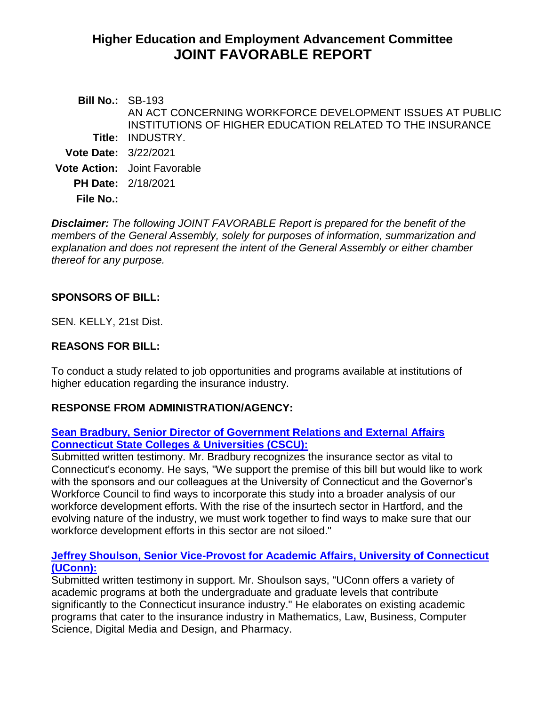# **Higher Education and Employment Advancement Committee JOINT FAVORABLE REPORT**

| <b>Bill No.: SB-193</b>     |                                                           |
|-----------------------------|-----------------------------------------------------------|
|                             | AN ACT CONCERNING WORKFORCE DEVELOPMENT ISSUES AT PUBLIC  |
|                             | INSTITUTIONS OF HIGHER EDUCATION RELATED TO THE INSURANCE |
|                             | <b>Title: INDUSTRY.</b>                                   |
| <b>Vote Date: 3/22/2021</b> |                                                           |
|                             | <b>Vote Action:</b> Joint Favorable                       |
|                             | <b>PH Date: 2/18/2021</b>                                 |
| <b>File No.:</b>            |                                                           |
|                             |                                                           |

*Disclaimer: The following JOINT FAVORABLE Report is prepared for the benefit of the members of the General Assembly, solely for purposes of information, summarization and explanation and does not represent the intent of the General Assembly or either chamber thereof for any purpose.*

## **SPONSORS OF BILL:**

SEN. KELLY, 21st Dist.

#### **REASONS FOR BILL:**

To conduct a study related to job opportunities and programs available at institutions of higher education regarding the insurance industry.

## **RESPONSE FROM ADMINISTRATION/AGENCY:**

#### **[Sean Bradbury, Senior Director of Government Relations and External Affairs](https://www.cga.ct.gov/2021/HEDdata/Tmy/2021SB-00193-R000218-Bradbury,%20Sean,%20Senior%20Director%20Gov%20Rleations-CSCU-TMY.PDF)  [Connecticut State Colleges & Universities \(CSCU\):](https://www.cga.ct.gov/2021/HEDdata/Tmy/2021SB-00193-R000218-Bradbury,%20Sean,%20Senior%20Director%20Gov%20Rleations-CSCU-TMY.PDF)**

Submitted written testimony. Mr. Bradbury recognizes the insurance sector as vital to Connecticut's economy. He says, "We support the premise of this bill but would like to work with the sponsors and our colleagues at the University of Connecticut and the Governor's Workforce Council to find ways to incorporate this study into a broader analysis of our workforce development efforts. With the rise of the insurtech sector in Hartford, and the evolving nature of the industry, we must work together to find ways to make sure that our workforce development efforts in this sector are not siloed."

#### **[Jeffrey Shoulson, Senior Vice-Provost for Academic Affairs, University of Connecticut](https://www.cga.ct.gov/2021/HEDdata/Tmy/2021SB-00193-R000218-Shoulson,%20Jeffrey,%20Senior%20Vice-Provost-UCONN-TMY.PDF)  [\(UConn\):](https://www.cga.ct.gov/2021/HEDdata/Tmy/2021SB-00193-R000218-Shoulson,%20Jeffrey,%20Senior%20Vice-Provost-UCONN-TMY.PDF)**

Submitted written testimony in support. Mr. Shoulson says, "UConn offers a variety of academic programs at both the undergraduate and graduate levels that contribute significantly to the Connecticut insurance industry." He elaborates on existing academic programs that cater to the insurance industry in Mathematics, Law, Business, Computer Science, Digital Media and Design, and Pharmacy.